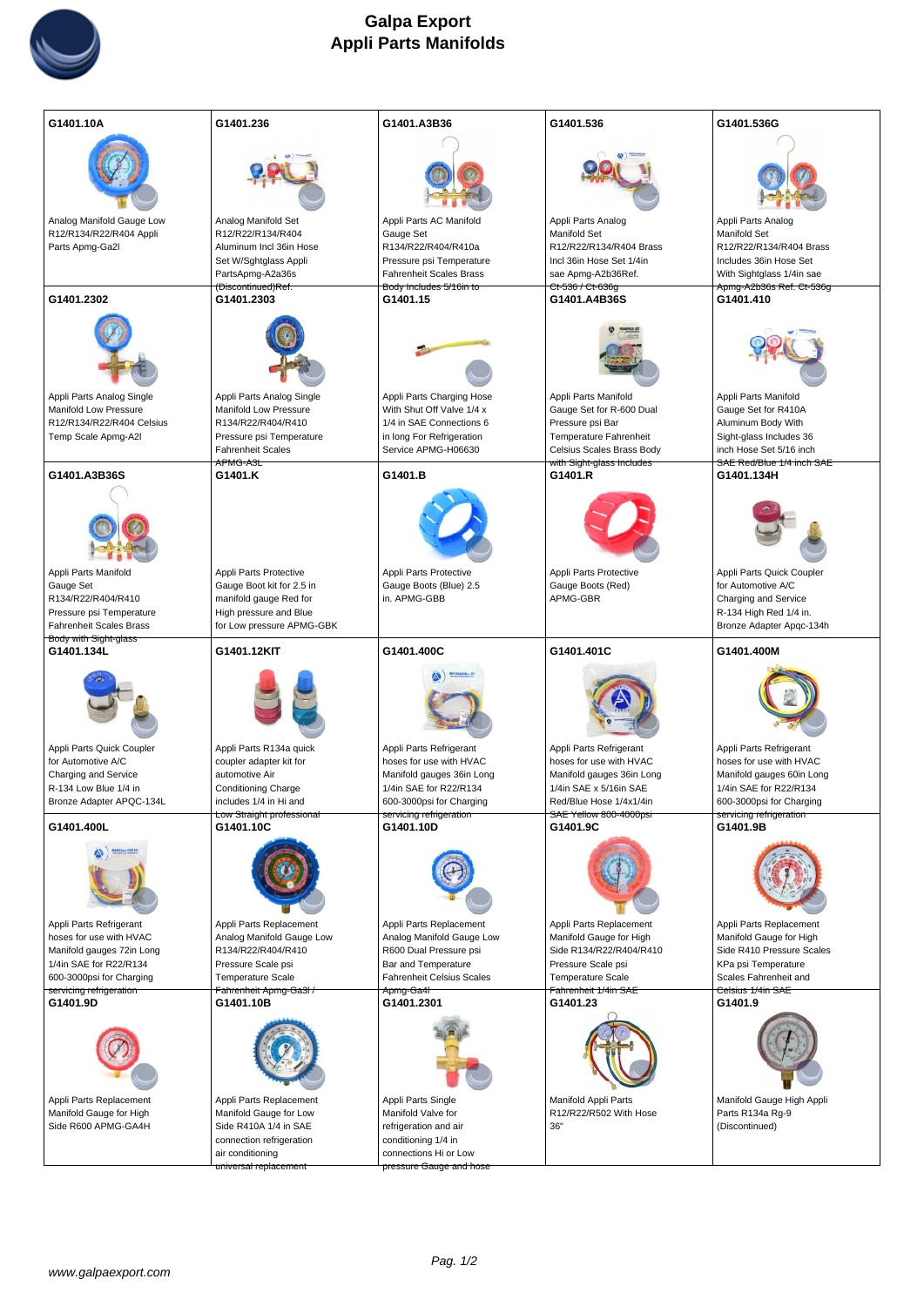

| G1401.10A                                           | G1401.236                                           | G1401.A3B36                                           | G1401.536                                            | G1401.536G                                          |
|-----------------------------------------------------|-----------------------------------------------------|-------------------------------------------------------|------------------------------------------------------|-----------------------------------------------------|
|                                                     |                                                     |                                                       |                                                      |                                                     |
| Analog Manifold Gauge Low                           | Analog Manifold Set                                 | Appli Parts AC Manifold                               | Appli Parts Analog                                   | Appli Parts Analog                                  |
| R12/R134/R22/R404 Appli                             | R12/R22/R134/R404                                   | Gauge Set                                             | <b>Manifold Set</b>                                  | <b>Manifold Set</b>                                 |
| Parts Apmg-Ga2l                                     | Aluminum Incl 36in Hose                             | R134/R22/R404/R410a<br>Pressure psi Temperature       | R12/R22/R134/R404 Brass<br>Incl 36in Hose Set 1/4in  | R12/R22/R134/R404 Brass<br>Includes 36in Hose Set   |
|                                                     | Set W/Sghtglass Appli<br>Parts Apmg-A2a36s          | Fahrenheit Scales Brass                               | sae Apmg-A2b36 Ref.                                  | With Sightglass 1/4in sae                           |
|                                                     | (Discontinued) Ref.                                 | Body Includes 5/16in to                               | Ct-536 / Ct-636g                                     | Apmg-A2b36s Ref. Ct-536g                            |
| G1401.2302                                          | G1401.2303                                          | G1401.15                                              | G1401.A4B36S                                         | G1401.410                                           |
|                                                     |                                                     |                                                       |                                                      |                                                     |
| Appli Parts Analog Single                           | Appli Parts Analog Single                           | Appli Parts Charging Hose                             | Appli Parts Manifold                                 | Appli Parts Manifold                                |
| Manifold Low Pressure<br>R12/R134/R22/R404 Celsius  | <b>Manifold Low Pressure</b><br>R134/R22/R404/R410  | With Shut Off Valve 1/4 x<br>1/4 in SAE Connections 6 | Gauge Set for R-600 Dual<br>Pressure psi Bar         | Gauge Set for R410A<br>Aluminum Body With           |
| Temp Scale Apmg-A2I                                 | Pressure psi Temperature                            | in long For Refrigeration                             | Temperature Fahrenheit                               | Sight-glass Includes 36                             |
|                                                     | <b>Fahrenheit Scales</b>                            | Service APMG-H06630                                   | Celsius Scales Brass Body                            | inch Hose Set 5/16 inch                             |
| G1401.A3B36S                                        | APMG-A3L<br>G1401.K                                 | G1401.B                                               | with Sight-glass Includes<br>G1401.R                 | SAE Red/Blue 1/4 inch SAE<br>G1401.134H             |
|                                                     |                                                     |                                                       |                                                      |                                                     |
| Appli Parts Manifold                                | Appli Parts Protective                              | Appli Parts Protective                                | Appli Parts Protective                               | Appli Parts Quick Coupler                           |
| Gauge Set<br>R134/R22/R404/R410                     | Gauge Boot kit for 2.5 in<br>manifold gauge Red for | Gauge Boots (Blue) 2.5<br>in. APMG-GBB                | Gauge Boots (Red)<br>APMG-GBR                        | for Automotive A/C<br>Charging and Service          |
| Pressure psi Temperature                            | High pressure and Blue                              |                                                       |                                                      | R-134 High Red 1/4 in.                              |
| Fahrenheit Scales Brass                             | for Low pressure APMG-GBK                           |                                                       |                                                      | Bronze Adapter Apqc-134h                            |
| Body with Sight-glass                               | G1401.12KIT                                         | G1401.400C                                            |                                                      |                                                     |
|                                                     |                                                     |                                                       |                                                      |                                                     |
| G1401.134L                                          |                                                     |                                                       | G1401.401C                                           | G1401.400M                                          |
| Appli Parts Quick Coupler                           | Appli Parts R134a quick                             | Appli Parts Refrigerant                               | Appli Parts Refrigerant                              | Appli Parts Refrigerant                             |
| for Automotive A/C                                  | coupler adapter kit for                             | hoses for use with HVAC                               | hoses for use with HVAC<br>Manifold gauges 36in Long | hoses for use with HVAC                             |
| Charging and Service<br>R-134 Low Blue 1/4 in       | automotive Air<br><b>Conditioning Charge</b>        | Manifold gauges 36in Long<br>1/4in SAE for R22/R134   | 1/4in SAE x 5/16in SAE                               | Manifold gauges 60in Long<br>1/4in SAE for R22/R134 |
| Bronze Adapter APQC-134L                            | includes 1/4 in Hi and                              | 600-3000psi for Charging                              | Red/Blue Hose 1/4x1/4in                              | 600-3000psi for Charging                            |
| G1401.400L                                          | Low Straight professional<br>G1401.10C              | servicing refrigeration<br>G1401.10D                  | SAE Yellow 800-4000psi<br>G1401.9C                   | servicing refrigeration<br>G1401.9B                 |
|                                                     |                                                     |                                                       |                                                      |                                                     |
| Appli Parts Refrigerant                             | Appli Parts Replacement                             | Appli Parts Replacement                               | Appli Parts Replacement                              | Appli Parts Replacement                             |
| hoses for use with HVAC                             | Analog Manifold Gauge Low                           | Analog Manifold Gauge Low                             | Manifold Gauge for High                              | Manifold Gauge for High                             |
| Manifold gauges 72in Long<br>1/4in SAE for R22/R134 | R134/R22/R404/R410<br>Pressure Scale psi            | R600 Dual Pressure psi<br>Bar and Temperature         | Side R134/R22/R404/R410<br>Pressure Scale psi        | Side R410 Pressure Scales<br>KPa psi Temperature    |
| 600-3000psi for Charging                            | <b>Temperature Scale</b>                            | Fahrenheit Celsius Scales                             | <b>Temperature Scale</b>                             | Scales Fahrenheit and                               |
| servicing refrigeration<br>G1401.9D                 | Fahrenheit Apmg-Ga3l /<br>G1401.10B                 | <del>Apmg-Ga4l</del><br>G1401.2301                    | Fahrenheit 1/4in SAE<br>G1401.23                     | Celsius 1/4in SAE<br>G1401.9                        |
|                                                     |                                                     |                                                       |                                                      |                                                     |
| Appli Parts Replacement                             | Appli Parts Replacement                             | Appli Parts Single                                    | Manifold Appli Parts                                 | Manifold Gauge High Appli                           |
| Manifold Gauge for High<br>Side R600 APMG-GA4H      | Manifold Gauge for Low<br>Side R410A 1/4 in SAE     | Manifold Valve for<br>refrigeration and air           | R12/R22/R502 With Hose<br>36"                        | Parts R134a Rg-9<br>(Discontinued)                  |
|                                                     | connection refrigeration                            | conditioning 1/4 in                                   |                                                      |                                                     |
|                                                     | air conditioning<br>universal replacement           | connections Hi or Low<br>pressure Gauge and hose      |                                                      |                                                     |